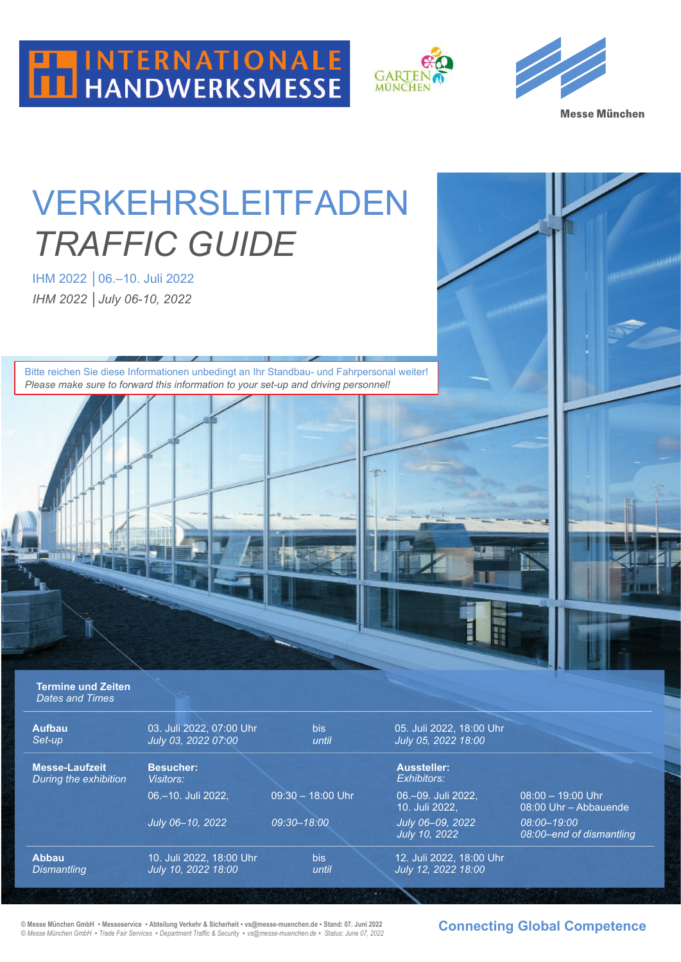





# VERKEHRSLEITFADEN *TRAFFIC GUIDE*

IHM 2022 │06.–10. Juli 2022 *IHM 2022 │July 06-10, 2022*

Bitte reichen Sie diese Informationen unbedingt an Ihr Standbau- und Fahrpersonal weiter! *Please make sure to forward this information to your set-up and driving personnel!*

**Termine und Zeiten** *Dates and Times*

| <b>Aufbau</b><br>Set-up                        | 03. Juli 2022, 07:00 Uhr<br>July 03, 2022 07:00 | <b>bis</b><br>until | 05. Juli 2022, 18:00 Uhr<br>July 05, 2022 18:00 |                                              |
|------------------------------------------------|-------------------------------------------------|---------------------|-------------------------------------------------|----------------------------------------------|
| <b>Messe-Laufzeit</b><br>During the exhibition | <b>Besucher:</b><br>Visitors:                   |                     | <b>Aussteller:</b><br>Exhibitors:               |                                              |
|                                                | 06.-10. Juli 2022.                              | $09:30 - 18:00$ Uhr | 06.-09. Juli 2022.<br>10. Juli 2022.            | $08:00 - 19:00$ Uhr<br>08:00 Uhr - Abbauende |
|                                                | July 06-10, 2022                                | 09:30-18:00         | July 06-09, 2022<br>July 10, 2022               | 08:00-19:00<br>08:00-end of dismantling      |
| <b>Abbau</b><br><b>Dismantling</b>             | 10. Juli 2022, 18:00 Uhr<br>July 10, 2022 18:00 | <b>bis</b><br>until | 12. Juli 2022, 18:00 Uhr<br>July 12, 2022 18:00 |                                              |

**© Messe München GmbH ▪ Messeservice ▪ Abteilung Verkehr & Sicherheit ▪ vs@messe-muenchen.de ▪ Stand: 07. Juni 2022** *© Messe München GmbH* **▪** *Trade Fair Services* **▪** *Department Traffic & Security ▪ vs@messe-muenchen.de ▪**Status: June 07, 2022* **Connecting Global Competence**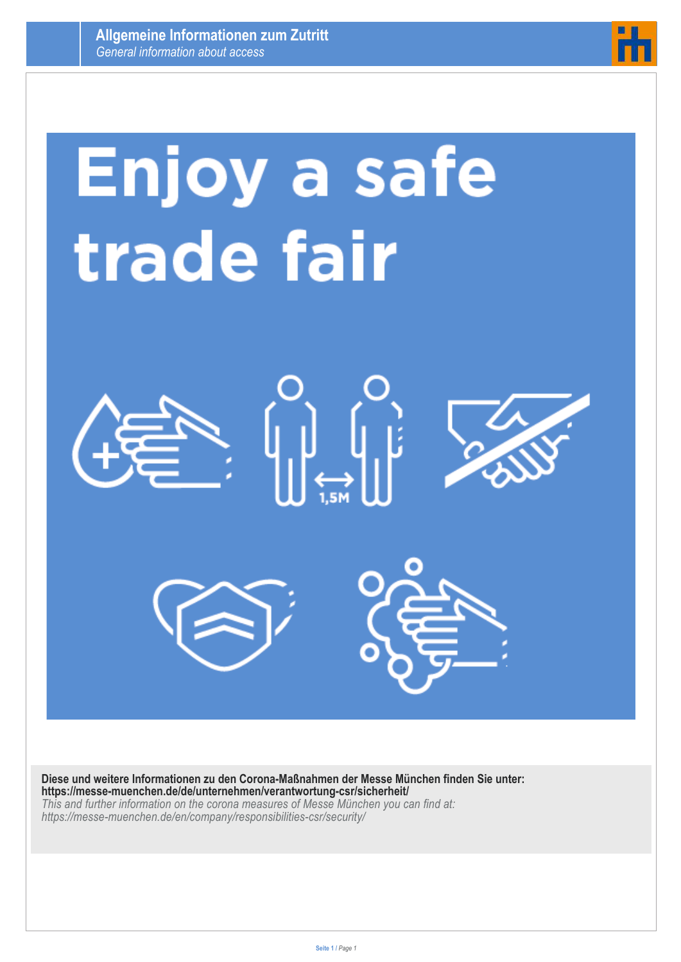

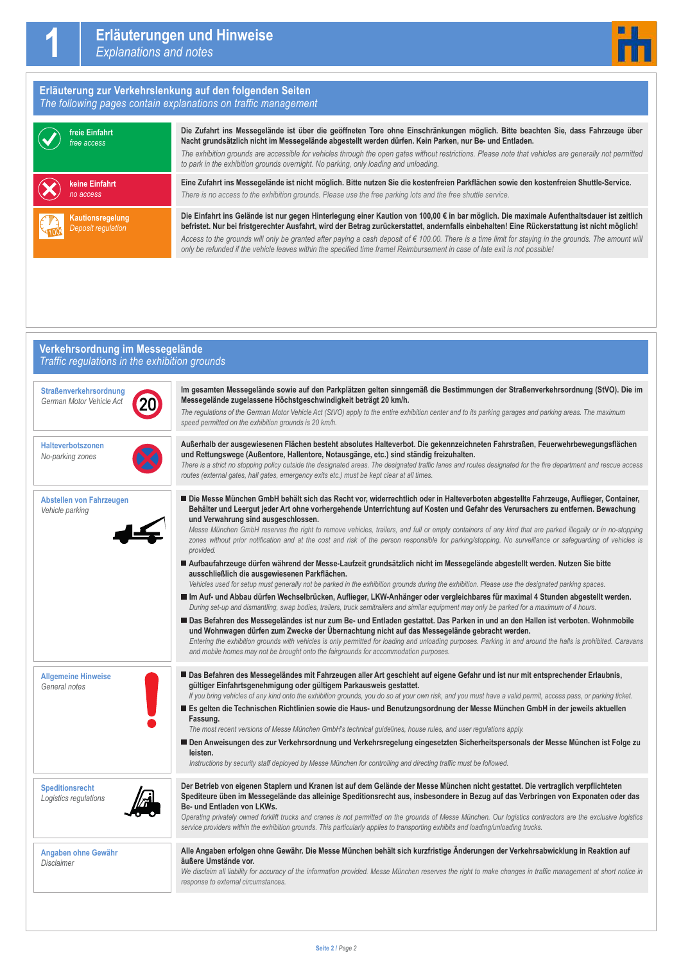#### **Erläuterung zur Verkehrslenkung auf den folgenden Seiten** *The following pages contain explanations on traffic management*



**Die Zufahrt ins Messegelände ist über die geöffneten Tore ohne Einschränkungen möglich. Bitte beachten Sie, dass Fahrzeuge über Nacht grundsätzlich nicht im Messegelände abgestellt werden dürfen. Kein Parken, nur Be- und Entladen.**

*The exhibition grounds are accessible for vehicles through the open gates without restrictions. Please note that vehicles are generally not permitted to park in the exhibition grounds overnight. No parking, only loading and unloading.* 

**Eine Zufahrt ins Messegelände ist nicht möglich. Bitte nutzen Sie die kostenfreien Parkflächen sowie den kostenfreien Shuttle-Service.** *There is no access to the exhibition grounds. Please use the free parking lots and the free shuttle service.*

**Die Einfahrt ins Gelände ist nur gegen Hinterlegung einer Kaution von 100,00 € in bar möglich. Die maximale Aufenthaltsdauer ist zeitlich befristet. Nur bei fristgerechter Ausfahrt, wird der Betrag zurückerstattet, andernfalls einbehalten! Eine Rückerstattung ist nicht möglich!** *Access to the grounds will only be granted after paying a cash deposit of € 100.00. There is a time limit for staying in the grounds. The amount will only be refunded if the vehicle leaves within the specified time frame! Reimbursement in case of late exit is not possible!*

### **Verkehrsordnung im Messegelände** *Traffic regulations in the exhibition grounds*

| <b>Straßenverkehrsordnung</b><br>German Motor Vehicle Act | Im gesamten Messegelände sowie auf den Parkplätzen gelten sinngemäß die Bestimmungen der Straßenverkehrsordnung (StVO). Die im<br>Messegelände zugelassene Höchstgeschwindigkeit beträgt 20 km/h.<br>The regulations of the German Motor Vehicle Act (StVO) apply to the entire exhibition center and to its parking garages and parking areas. The maximum<br>speed permitted on the exhibition grounds is 20 km/h.                                                                                                                                                                                                                                                                                                                                                           |
|-----------------------------------------------------------|--------------------------------------------------------------------------------------------------------------------------------------------------------------------------------------------------------------------------------------------------------------------------------------------------------------------------------------------------------------------------------------------------------------------------------------------------------------------------------------------------------------------------------------------------------------------------------------------------------------------------------------------------------------------------------------------------------------------------------------------------------------------------------|
| Halteverbotszonen<br>No-parking zones                     | Außerhalb der ausgewiesenen Flächen besteht absolutes Halteverbot. Die gekennzeichneten Fahrstraßen, Feuerwehrbewegungsflächen<br>und Rettungswege (Außentore, Hallentore, Notausgänge, etc.) sind ständig freizuhalten.<br>There is a strict no stopping policy outside the designated areas. The designated traffic lanes and routes designated for the fire department and rescue access<br>routes (external gates, hall gates, emergency exits etc.) must be kept clear at all times.                                                                                                                                                                                                                                                                                      |
| Abstellen von Fahrzeugen<br>Vehicle parking               | Die Messe München GmbH behält sich das Recht vor, widerrechtlich oder in Halteverboten abgestellte Fahrzeuge, Auflieger, Container,<br>Behälter und Leergut jeder Art ohne vorhergehende Unterrichtung auf Kosten und Gefahr des Verursachers zu entfernen. Bewachung<br>und Verwahrung sind ausgeschlossen.<br>Messe München GmbH reserves the right to remove vehicles, trailers, and full or empty containers of any kind that are parked illegally or in no-stopping<br>zones without prior notification and at the cost and risk of the person responsible for parking/stopping. No surveillance or safeguarding of vehicles is<br>provided.<br>Aufbaufahrzeuge dürfen während der Messe-Laufzeit grundsätzlich nicht im Messegelände abgestellt werden. Nutzen Sie bitte |
|                                                           | ausschließlich die ausgewiesenen Parkflächen.<br>Vehicles used for setup must generally not be parked in the exhibition grounds during the exhibition. Please use the designated parking spaces.<br>Im Auf- und Abbau dürfen Wechselbrücken, Auflieger, LKW-Anhänger oder vergleichbares für maximal 4 Stunden abgestellt werden.<br>During set-up and dismantling, swap bodies, trailers, truck semitrailers and similar equipment may only be parked for a maximum of 4 hours.                                                                                                                                                                                                                                                                                               |
|                                                           | Das Befahren des Messegeländes ist nur zum Be- und Entladen gestattet. Das Parken in und an den Hallen ist verboten. Wohnmobile<br>und Wohnwagen dürfen zum Zwecke der Übernachtung nicht auf das Messegelände gebracht werden.<br>Entering the exhibition grounds with vehicles is only permitted for loading and unloading purposes. Parking in and around the halls is prohibited. Caravans<br>and mobile homes may not be brought onto the fairgrounds for accommodation purposes.                                                                                                                                                                                                                                                                                         |
| <b>Allgemeine Hinweise</b><br>General notes               | Das Befahren des Messegeländes mit Fahrzeugen aller Art geschieht auf eigene Gefahr und ist nur mit entsprechender Erlaubnis,<br>gültiger Einfahrtsgenehmigung oder gültigem Parkausweis gestattet.<br>If you bring vehicles of any kind onto the exhibition grounds, you do so at your own risk, and you must have a valid permit, access pass, or parking ticket.<br>Es gelten die Technischen Richtlinien sowie die Haus- und Benutzungsordnung der Messe München GmbH in der jeweils aktuellen<br>Fassung.<br>The most recent versions of Messe München GmbH's technical guidelines, house rules, and user regulations apply.                                                                                                                                              |
|                                                           | Den Anweisungen des zur Verkehrsordnung und Verkehrsregelung eingesetzten Sicherheitspersonals der Messe München ist Folge zu<br>leisten.<br>Instructions by security staff deployed by Messe München for controlling and directing traffic must be followed.                                                                                                                                                                                                                                                                                                                                                                                                                                                                                                                  |
| <b>Speditionsrecht</b><br>Logistics regulations           | Der Betrieb von eigenen Staplern und Kranen ist auf dem Gelände der Messe München nicht gestattet. Die vertraglich verpflichteten<br>Spediteure üben im Messegelände das alleinige Speditionsrecht aus, insbesondere in Bezug auf das Verbringen von Exponaten oder das<br>Be- und Entladen von LKWs.<br>Operating privately owned forklift trucks and cranes is not permitted on the grounds of Messe München. Our logistics contractors are the exclusive logistics<br>service providers within the exhibition grounds. This particularly applies to transporting exhibits and loading/unloading trucks.                                                                                                                                                                     |
| Angaben ohne Gewähr<br>Disclaimer                         | Alle Angaben erfolgen ohne Gewähr. Die Messe München behält sich kurzfristige Änderungen der Verkehrsabwicklung in Reaktion auf<br>äußere Umstände vor.<br>We disclaim all liability for accuracy of the information provided. Messe München reserves the right to make changes in traffic management at short notice in<br>response to external circumstances.                                                                                                                                                                                                                                                                                                                                                                                                                |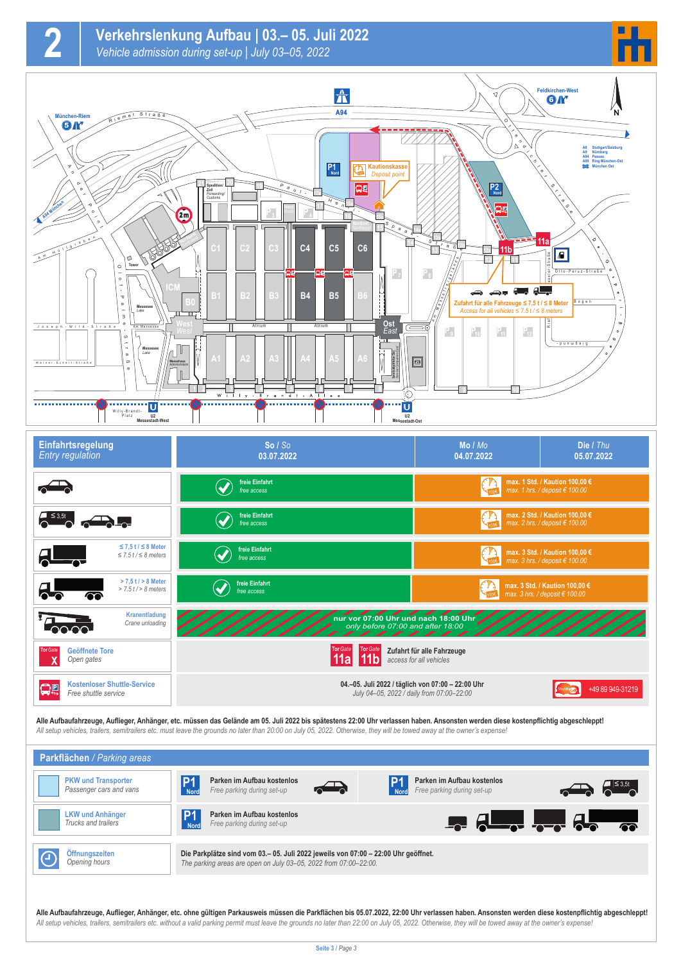

| $\sim$ $\sim$ $\sim$ $\sim$                                     | freie Einfahrt<br>free access | max. 2 Std. / Kaution 100,00 €<br>max. 2 hrs. / deposit $\epsilon$ 100.00                                          |
|-----------------------------------------------------------------|-------------------------------|--------------------------------------------------------------------------------------------------------------------|
| $\leq$ 7,5 t / $\leq$ 8 Meter<br>$\leq$ 7.5 t/ $\leq$ 8 meters  | freie Einfahrt<br>free access | max. 3 Std. / Kaution 100,00 €<br>max. 3 hrs. / deposit $\epsilon$ 100.00                                          |
| $> 7.5$ t $/ > 8$ Meter<br>$> 7.5$ t $/$ $> 8$ meters<br>☎      | freie Einfahrt<br>free access | max. 3 Std. / Kaution 100,00 €<br>max. 3 hrs. / deposit € 100.00                                                   |
| Kranentladung<br>Crane unloading                                |                               | nur vor 07:00 Uhr und nach 18:00 Uhr                                                                               |
| <b>Tor Gate</b><br><b>Geöffnete Tore</b><br>Open gates          |                               | Zufahrt für alle Fahrzeuge<br>access for all vehicles                                                              |
| <b>Kostenloser Shuttle-Service</b><br>日<br>Free shuttle service |                               | 04.-05. Juli 2022 / täglich von 07:00 - 22:00 Uhr<br>+49 89 949-31219<br>July 04-05, 2022 / daily from 07:00-22:00 |

**Alle Aufbaufahrzeuge, Auflieger, Anhänger, etc. müssen das Gelände am 05. Juli 2022 bis spätestens 22:00 Uhr verlassen haben. Ansonsten werden diese kostenpflichtig abgeschleppt!** *All setup vehicles, trailers, semitrailers etc. must leave the grounds no later than 20:00 on July 05, 2022. Otherwise, they will be towed away at the owner's expense!*

| <b>Parkflächen</b> / Parking areas                    |                                                                                                                                                        |                                                                                                                                                                                                                                                                                                                     |  |
|-------------------------------------------------------|--------------------------------------------------------------------------------------------------------------------------------------------------------|---------------------------------------------------------------------------------------------------------------------------------------------------------------------------------------------------------------------------------------------------------------------------------------------------------------------|--|
| <b>PKW und Transporter</b><br>Passenger cars and vans | Parken im Aufbau kostenlos<br>$\rightarrow$<br>Free parking during set-up                                                                              | Parken im Aufbau kostenlos<br>Free parking during set-up                                                                                                                                                                                                                                                            |  |
| <b>LKW und Anhänger</b><br>Trucks and trailers        | Parken im Aufbau kostenlos<br>Free parking during set-up                                                                                               | $\frac{1}{2}$ $\frac{1}{2}$ $\frac{1}{2}$ $\frac{1}{2}$ $\frac{1}{2}$ $\frac{1}{2}$ $\frac{1}{2}$ $\frac{1}{2}$ $\frac{1}{2}$ $\frac{1}{2}$ $\frac{1}{2}$ $\frac{1}{2}$ $\frac{1}{2}$ $\frac{1}{2}$ $\frac{1}{2}$ $\frac{1}{2}$ $\frac{1}{2}$ $\frac{1}{2}$ $\frac{1}{2}$ $\frac{1}{2}$ $\frac{1}{2}$ $\frac{1}{2}$ |  |
| Öffnungszeiten<br>Opening hours                       | Die Parkplätze sind vom 03.– 05. Juli 2022 jeweils von 07:00 – 22:00 Uhr geöffnet.<br>The parking areas are open on July 03-05, 2022 from 07:00-22:00. |                                                                                                                                                                                                                                                                                                                     |  |

**Alle Aufbaufahrzeuge, Auflieger, Anhänger, etc. ohne gültigen Parkausweis müssen die Parkflächen bis 05.07.2022, 22:00 Uhr verlassen haben. Ansonsten werden diese kostenpflichtig abgeschleppt!** *All setup vehicles, trailers, semitrailers etc. without a valid parking permit must leave the grounds no later than 22:00 on July 05, 2022. Otherwise, they will be towed away at the owner's expense!*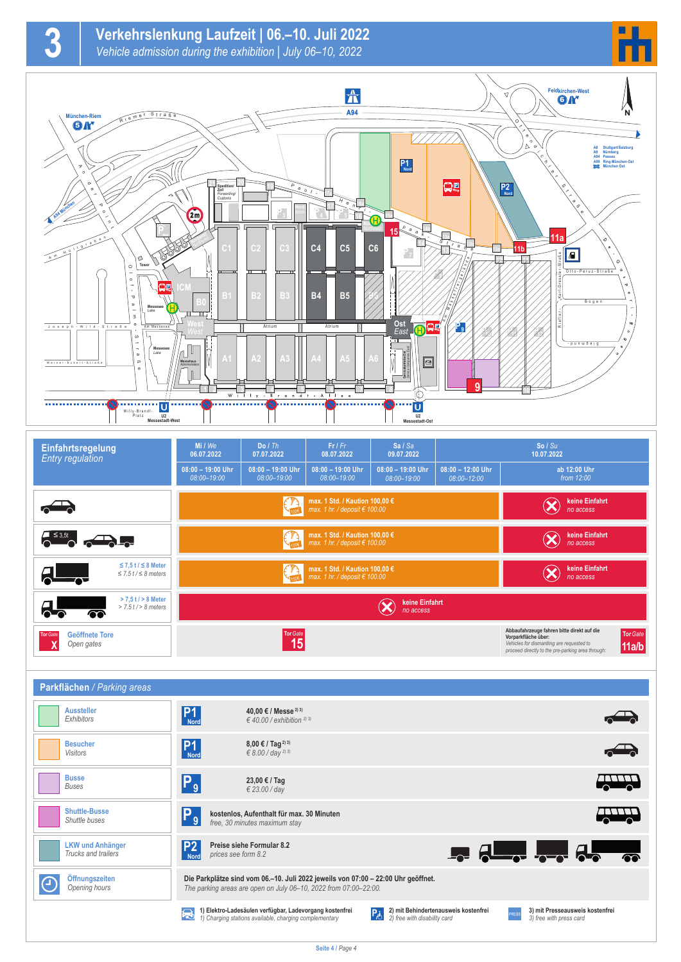

**3**



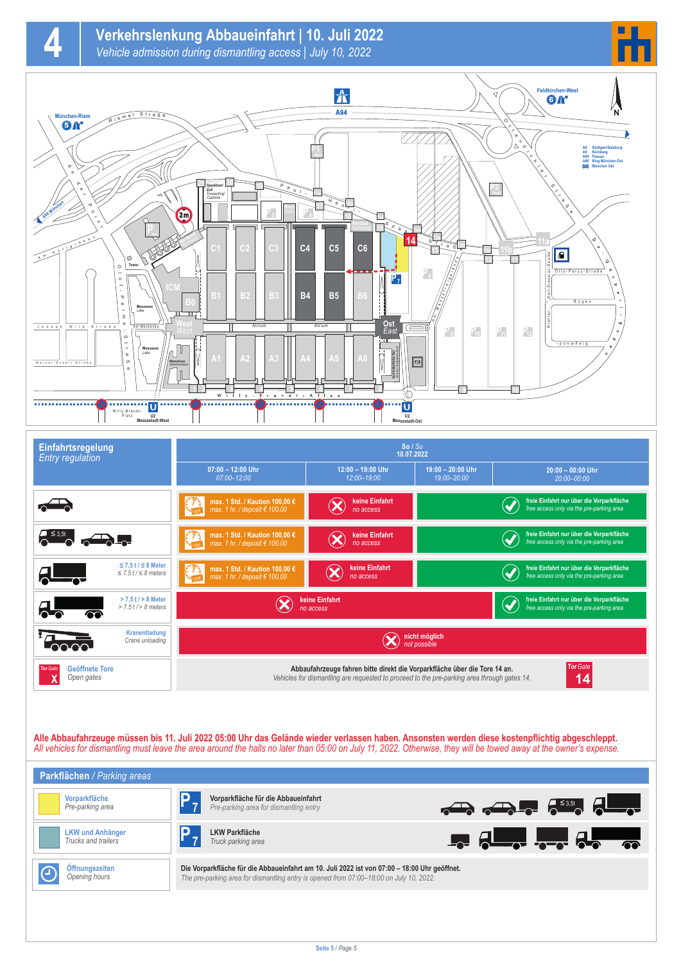

**4**





| Einfahrtsregelung<br><b>Entry regulation</b>                   | So / Su<br>10.07.2022                                                                                                                                                                      |                                  |                                                                                        |                                                                                                                |
|----------------------------------------------------------------|--------------------------------------------------------------------------------------------------------------------------------------------------------------------------------------------|----------------------------------|----------------------------------------------------------------------------------------|----------------------------------------------------------------------------------------------------------------|
|                                                                | $07:00 - 12:00$ Uhr<br>$07:00 - 12:00$                                                                                                                                                     | 12:00 - 19:00 Uhr<br>12:00-19:00 | 19:00 - 20:00 Uhr<br>$20:00 - 00:00$ Uhr<br>19:00-20:00<br>$20:00 - 00:00$             |                                                                                                                |
|                                                                | max. 1 Std. / Kaution 100,00 €<br>max. 1 hr. / deposit $\in$ 100.00                                                                                                                        | keine Einfahrt<br>no access      |                                                                                        | freie Einfahrt nur über die Vorparkfläche<br>$\blacktriangledown$<br>free access only via the pre-parking area |
|                                                                | max. 1 Std. / Kaution 100,00 €<br>max. 1 hr. / deposit $\epsilon$ 100.00                                                                                                                   | keine Einfahrt<br>no access      |                                                                                        | freie Einfahrt nur über die Vorparkfläche<br>free access only via the pre-parking area                         |
| $\leq$ 7.5 t / $\leq$ 8 Meter<br>$\leq$ 7.5 t/ $\leq$ 8 meters | max. 1 Std. / Kaution 100,00 €<br>max. 1 hr. / deposit $\epsilon$ 100.00<br><b>KALON</b>                                                                                                   | keine Einfahrt<br>no access      |                                                                                        | freie Einfahrt nur über die Vorparkfläche<br>free access only via the pre-parking area                         |
| $> 7.5$ t $/ > 8$ Meter<br>$> 7.5$ f $/$ > 8 meters<br>☎       | keine Einfahrt<br>no access                                                                                                                                                                |                                  | freie Einfahrt nur über die Vorparkfläche<br>free access only via the pre-parking area |                                                                                                                |
| Kranentladung<br>Crane unloading                               | nicht möglich<br>not possible                                                                                                                                                              |                                  |                                                                                        |                                                                                                                |
| <b>Tor Gate</b><br><b>Geöffnete Tore</b><br>Open gates         | Tor Gate<br>Abbaufahrzeuge fahren bitte direkt die Vorparkfläche über die Tore 14 an.<br>Vehicles for dismantling are requested to proceed to the pre-parking area through gates 14.<br>14 |                                  |                                                                                        |                                                                                                                |

**Alle Abbaufahrzeuge müssen bis 11. Juli 2022 05:00 Uhr das Gelände wieder verlassen haben. Ansonsten werden diese kostenpflichtig abgeschleppt.** *All vehicles for dismantling must leave the area around the halls no later than 05:00 on July 11, 2022. Otherwise, they will be towed away at the owner's expense.*

| Parkflächen / Parking areas                    |                                                                                                                                                                                         |                                                                                                                                                                                                                                                                                                                                                                                                                      |
|------------------------------------------------|-----------------------------------------------------------------------------------------------------------------------------------------------------------------------------------------|----------------------------------------------------------------------------------------------------------------------------------------------------------------------------------------------------------------------------------------------------------------------------------------------------------------------------------------------------------------------------------------------------------------------|
| Vorparkfläche<br>Pre-parking area              | Vorparkfläche für die Abbaueinfahrt<br>Pre-parking area for dismantling entry                                                                                                           | $\frac{1}{\sqrt{2\pi}}\sum_{n=1}^{\infty}\frac{1}{\sqrt{n}}\sum_{n=1}^{\infty}\frac{1}{\sqrt{n}}\sum_{n=1}^{\infty}\frac{1}{\sqrt{n}}\sum_{n=1}^{\infty}\frac{1}{\sqrt{n}}\sum_{n=1}^{\infty}\frac{1}{\sqrt{n}}\sum_{n=1}^{\infty}\frac{1}{\sqrt{n}}\sum_{n=1}^{\infty}\frac{1}{\sqrt{n}}\sum_{n=1}^{\infty}\frac{1}{\sqrt{n}}\sum_{n=1}^{\infty}\frac{1}{\sqrt{n}}\sum_{n=1}^{\infty}\frac{1}{\sqrt{n}}\sum_{n=1}^$ |
| <b>LKW und Anhänger</b><br>Trucks and trailers | <b>LKW Parkfläche</b><br>Truck parking area                                                                                                                                             | $\frac{1}{2}$ $\frac{1}{2}$ $\frac{1}{2}$ $\frac{1}{2}$ $\frac{1}{2}$ $\frac{1}{2}$ $\frac{1}{2}$ $\frac{1}{2}$ $\frac{1}{2}$ $\frac{1}{2}$ $\frac{1}{2}$ $\frac{1}{2}$ $\frac{1}{2}$ $\frac{1}{2}$ $\frac{1}{2}$ $\frac{1}{2}$ $\frac{1}{2}$ $\frac{1}{2}$ $\frac{1}{2}$ $\frac{1}{2}$ $\frac{1}{2}$ $\frac{1}{2}$                                                                                                  |
| Öffnungszeiten<br>Opening hours                | Die Vorparkfläche für die Abbaueinfahrt am 10. Juli 2022 ist von 07:00 - 18:00 Uhr geöffnet.<br>The pre-parking area for dismantling entry is opened from 07:00-18:00 on July 10, 2022. |                                                                                                                                                                                                                                                                                                                                                                                                                      |
|                                                |                                                                                                                                                                                         |                                                                                                                                                                                                                                                                                                                                                                                                                      |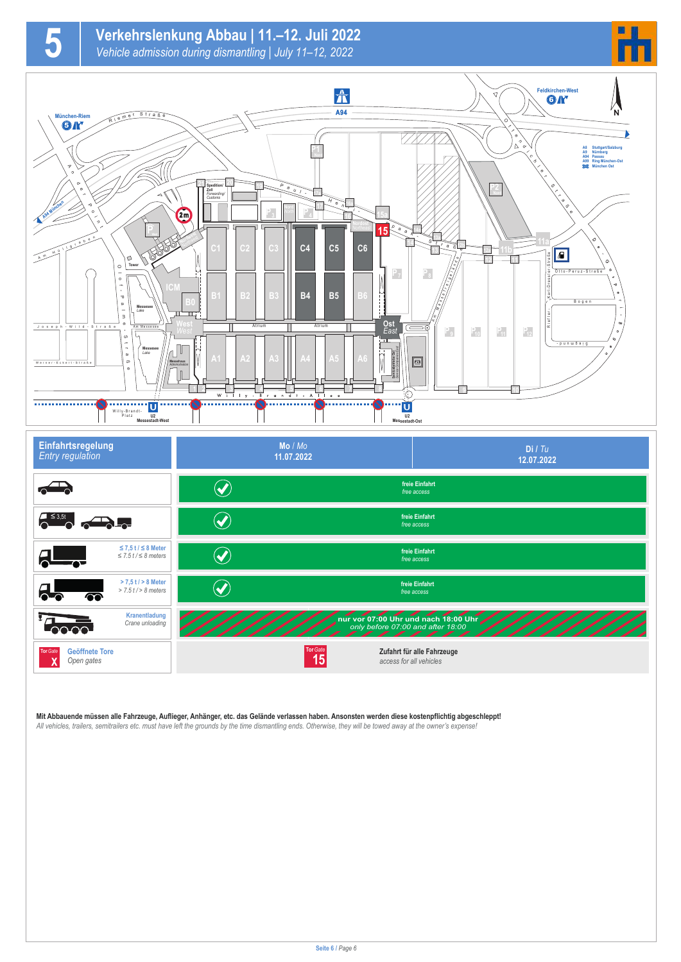

#### **Mit Abbauende müssen alle Fahrzeuge, Auflieger, Anhänger, etc. das Gelände verlassen haben. Ansonsten werden diese kostenpflichtig abgeschleppt!**

*All vehicles, trailers, semitrailers etc. must have left the grounds by the time dismantling ends. Otherwise, they will be towed away at the owner's expense!*